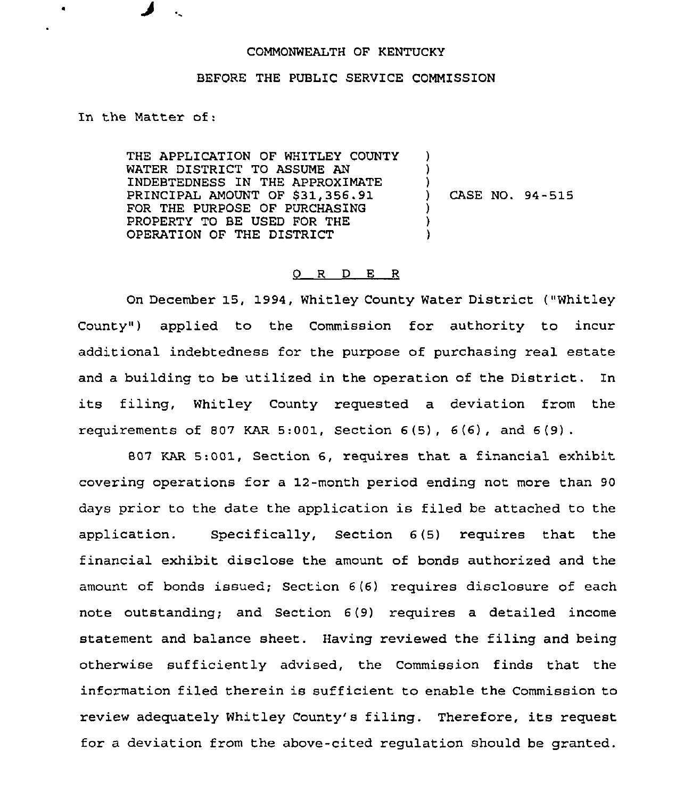## COMMONWEALTH OF KENTUCKY

## BEFORE THE PUBLIC SERVICE COMMISSION

In the Matter of:

THE APPLICATION OF WHITLEY COUNTY WATER DISTRICT TO ASSUME AN INDEBTEDNESS IN THE APPROXIMATE PRINCIPAL AMOUNT OF \$31,356.91 FOR THE PURPOSE OF PURCHASING PROPERTY TO BE USED FOR THE OPERATION OF THE DISTRICT ) ) ) ) CASE NO. 94-515 ) ) )

## 0 R <sup>D</sup> E R

On December 15, 1994, Whitley County Water District ("Whitley County") applied to the Commission for authority to incur additional indebtedness for the purpose of purchasing real estate and a building to be utilized in the operation of the District. In its filing, Whitley County requested <sup>a</sup> deviation from the requirements of 807 KAR 5:001, Section  $6(5)$ ,  $6(6)$ , and  $6(9)$ .

807 KAR 5:001, Section 6, requires that a financial exhibit covering operations for a 12-month period ending not more than 90 days prior to the date the application is filed be attached to the application. Specifically, Section 6(5) requires that the financial exhibit disclose the amount of bonds authorized and the amount of bonds issued; Section 6(6) requires disclosure of each note outstanding; and Section 6(9) requires a detailed income statement and balance sheet. Having reviewed the filing and being otherwise sufficiently advised, the Commission finds that the information filed therein is sufficient to enable the Commission to review adequately Whitley County's filing. Therefore, its request for a deviation from the above-cited regulation should be granted.